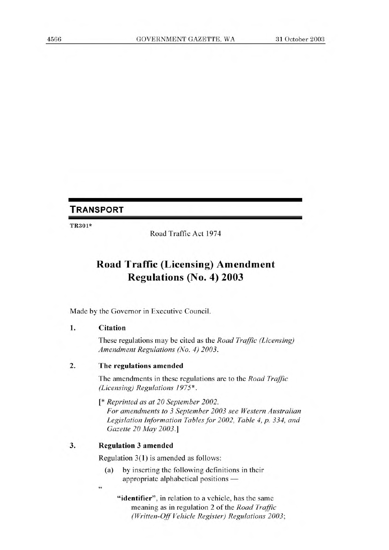## **TRANSPORT**

TR301\*

Road Traffic Act 1974

# **Road Traffic (Licensing) Amendment Regulations (No. 4) 2003**

Made by the Governor in Executive Council.

### **1. Citation**

These regulations may be cited as the *Road Traffic (Licensing) Amendment Regulations (No. 4) 2003.* 

### **2. The regulations amended**

The amendments in these regulations are to the *Road Traffic (Licensing) Regulations 1975\* .* 

*[\* Reprinted as at 20 September 2002. For amendments to 3 September 2003 see Western Australian Legislation Information Tables for 2002, Table 4, p. 334, and* 

*Gazette 20 May 2003.]* 

### **3. Regulation 3 amended**

*44* 

Regulation 3(1) is amended as follows:

- (a) by inserting the following definitions in their appropriate alphabetical positions —
	- **"identifier",** in relation to a vehicle, has the same meaning as in regulation 2 of the *Road Traffic (Written-Off Vehicle Register) Regulations 2003;*